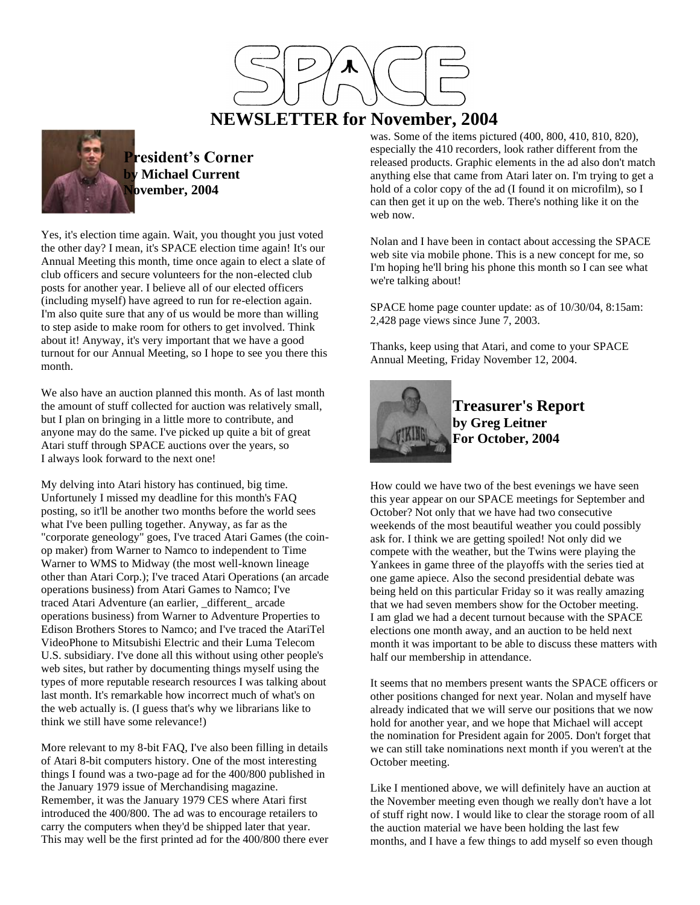

# **NEWSLETTER for November, 2004**



**President's Corner Michael Current November, 2004**

Yes, it's election time again. Wait, you thought you just voted the other day? I mean, it's SPACE election time again! It's our Annual Meeting this month, time once again to elect a slate of club officers and secure volunteers for the non-elected club posts for another year. I believe all of our elected officers (including myself) have agreed to run for re-election again. I'm also quite sure that any of us would be more than willing to step aside to make room for others to get involved. Think about it! Anyway, it's very important that we have a good turnout for our Annual Meeting, so I hope to see you there this month.

We also have an auction planned this month. As of last month the amount of stuff collected for auction was relatively small, but I plan on bringing in a little more to contribute, and anyone may do the same. I've picked up quite a bit of great Atari stuff through SPACE auctions over the years, so I always look forward to the next one!

My delving into Atari history has continued, big time. Unfortunely I missed my deadline for this month's FAQ posting, so it'll be another two months before the world sees what I've been pulling together. Anyway, as far as the "corporate geneology" goes, I've traced Atari Games (the coinop maker) from Warner to Namco to independent to Time Warner to WMS to Midway (the most well-known lineage other than Atari Corp.); I've traced Atari Operations (an arcade operations business) from Atari Games to Namco; I've traced Atari Adventure (an earlier, different arcade operations business) from Warner to Adventure Properties to Edison Brothers Stores to Namco; and I've traced the AtariTel VideoPhone to Mitsubishi Electric and their Luma Telecom U.S. subsidiary. I've done all this without using other people's web sites, but rather by documenting things myself using the types of more reputable research resources I was talking about last month. It's remarkable how incorrect much of what's on the web actually is. (I guess that's why we librarians like to think we still have some relevance!)

More relevant to my 8-bit FAQ, I've also been filling in details of Atari 8-bit computers history. One of the most interesting things I found was a two-page ad for the 400/800 published in the January 1979 issue of Merchandising magazine. Remember, it was the January 1979 CES where Atari first introduced the 400/800. The ad was to encourage retailers to carry the computers when they'd be shipped later that year. This may well be the first printed ad for the 400/800 there ever

was. Some of the items pictured (400, 800, 410, 810, 820), especially the 410 recorders, look rather different from the released products. Graphic elements in the ad also don't match anything else that came from Atari later on. I'm trying to get a hold of a color copy of the ad (I found it on microfilm), so I can then get it up on the web. There's nothing like it on the web now.

Nolan and I have been in contact about accessing the SPACE web site via mobile phone. This is a new concept for me, so I'm hoping he'll bring his phone this month so I can see what we're talking about!

SPACE home page counter update: as of 10/30/04, 8:15am: 2,428 page views since June 7, 2003.

Thanks, keep using that Atari, and come to your SPACE Annual Meeting, Friday November 12, 2004.



**Treasurer's Report by Greg Leitner For October, 2004**

How could we have two of the best evenings we have seen this year appear on our SPACE meetings for September and October? Not only that we have had two consecutive weekends of the most beautiful weather you could possibly ask for. I think we are getting spoiled! Not only did we compete with the weather, but the Twins were playing the Yankees in game three of the playoffs with the series tied at one game apiece. Also the second presidential debate was being held on this particular Friday so it was really amazing that we had seven members show for the October meeting. I am glad we had a decent turnout because with the SPACE elections one month away, and an auction to be held next month it was important to be able to discuss these matters with half our membership in attendance.

It seems that no members present wants the SPACE officers or other positions changed for next year. Nolan and myself have already indicated that we will serve our positions that we now hold for another year, and we hope that Michael will accept the nomination for President again for 2005. Don't forget that we can still take nominations next month if you weren't at the October meeting.

Like I mentioned above, we will definitely have an auction at the November meeting even though we really don't have a lot of stuff right now. I would like to clear the storage room of all the auction material we have been holding the last few months, and I have a few things to add myself so even though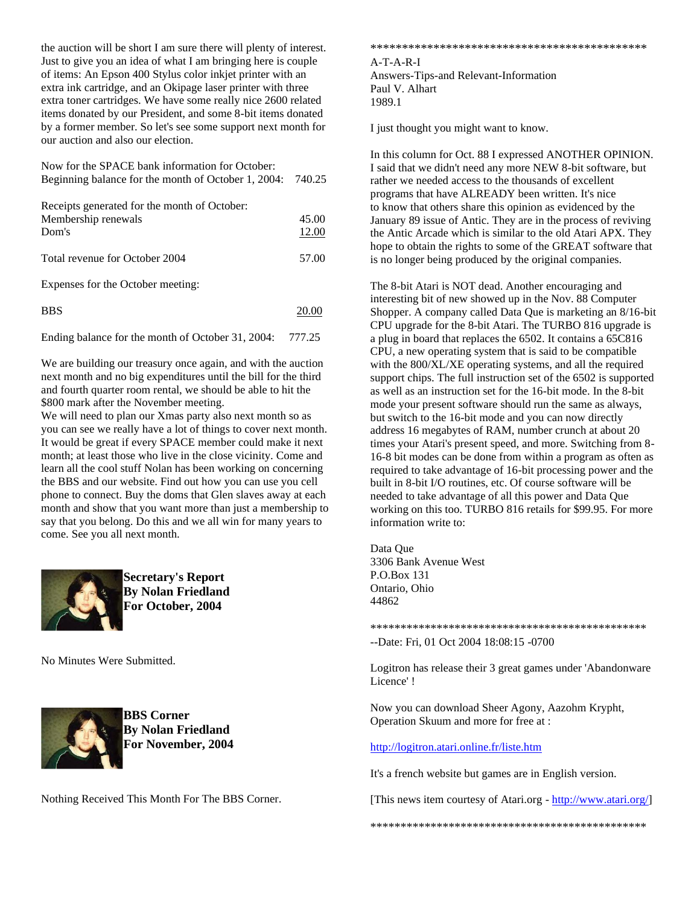the auction will be short I am sure there will plenty of interest. Just to give you an idea of what I am bringing here is couple of items: An Epson 400 Stylus color inkjet printer with an extra ink cartridge, and an Okipage laser printer with three extra toner cartridges. We have some really nice 2600 related items donated by our President, and some 8-bit items donated by a former member. So let's see some support next month for our auction and also our election.

| Now for the SPACE bank information for October:<br>Beginning balance for the month of October 1, 2004: | 740.25         |
|--------------------------------------------------------------------------------------------------------|----------------|
| Receipts generated for the month of October:<br>Membership renewals<br>Dom's                           | 45.00<br>12.00 |
| Total revenue for October 2004                                                                         | 57.00          |
| Expenses for the October meeting:                                                                      |                |

Expenses for the October meeting:

| <b>BBS</b> | 20.00 |
|------------|-------|
|            |       |

Ending balance for the month of October 31, 2004: 777.25

We are building our treasury once again, and with the auction next month and no big expenditures until the bill for the third and fourth quarter room rental, we should be able to hit the \$800 mark after the November meeting.

We will need to plan our Xmas party also next month so as you can see we really have a lot of things to cover next month. It would be great if every SPACE member could make it next month; at least those who live in the close vicinity. Come and learn all the cool stuff Nolan has been working on concerning the BBS and our website. Find out how you can use you cell phone to connect. Buy the doms that Glen slaves away at each month and show that you want more than just a membership to say that you belong. Do this and we all win for many years to come. See you all next month.



**Secretary's Report By Nolan Friedland For October, 2004**

No Minutes Were Submitted.



**BBS Corner By Nolan Friedland For November, 2004**

Nothing Received This Month For The BBS Corner.

\*\*\*\*\*\*\*\*\*\*\*\*\*\*\*\*\*\*\*\*\*\*\*\*\*\*\*\*\*\*\*\*\*\*\*\*\*\*\*\*\*\*\*\*

A-T-A-R-I Answers-Tips-and Relevant-Information Paul V. Alhart 1989.1

I just thought you might want to know.

In this column for Oct. 88 I expressed ANOTHER OPINION. I said that we didn't need any more NEW 8-bit software, but rather we needed access to the thousands of excellent programs that have ALREADY been written. It's nice to know that others share this opinion as evidenced by the January 89 issue of Antic. They are in the process of reviving the Antic Arcade which is similar to the old Atari APX. They hope to obtain the rights to some of the GREAT software that is no longer being produced by the original companies.

The 8-bit Atari is NOT dead. Another encouraging and interesting bit of new showed up in the Nov. 88 Computer Shopper. A company called Data Que is marketing an 8/16-bit CPU upgrade for the 8-bit Atari. The TURBO 816 upgrade is a plug in board that replaces the 6502. It contains a 65C816 CPU, a new operating system that is said to be compatible with the 800/XL/XE operating systems, and all the required support chips. The full instruction set of the 6502 is supported as well as an instruction set for the 16-bit mode. In the 8-bit mode your present software should run the same as always, but switch to the 16-bit mode and you can now directly address 16 megabytes of RAM, number crunch at about 20 times your Atari's present speed, and more. Switching from 8- 16-8 bit modes can be done from within a program as often as required to take advantage of 16-bit processing power and the built in 8-bit I/O routines, etc. Of course software will be needed to take advantage of all this power and Data Que working on this too. TURBO 816 retails for \$99.95. For more information write to:

Data Que 3306 Bank Avenue West P.O.Box 131 Ontario, Ohio 44862

\*\*\*\*\*\*\*\*\*\*\*\*\*\*\*\*\*\*\*\*\*\*\*\*\*\*\*\*\*\*\*\*\*\*\*\*\*\*\*\*\*\*\*\*\*\*

--Date: Fri, 01 Oct 2004 18:08:15 -0700

Logitron has release their 3 great games under 'Abandonware Licence' !

Now you can download Sheer Agony, Aazohm Krypht, Operation Skuum and more for free at :

<http://logitron.atari.online.fr/liste.htm>

It's a french website but games are in English version.

[This news item courtesy of Atari.org - [http://www.atari.org/\]](http://www.atari.org/)

\*\*\*\*\*\*\*\*\*\*\*\*\*\*\*\*\*\*\*\*\*\*\*\*\*\*\*\*\*\*\*\*\*\*\*\*\*\*\*\*\*\*\*\*\*\*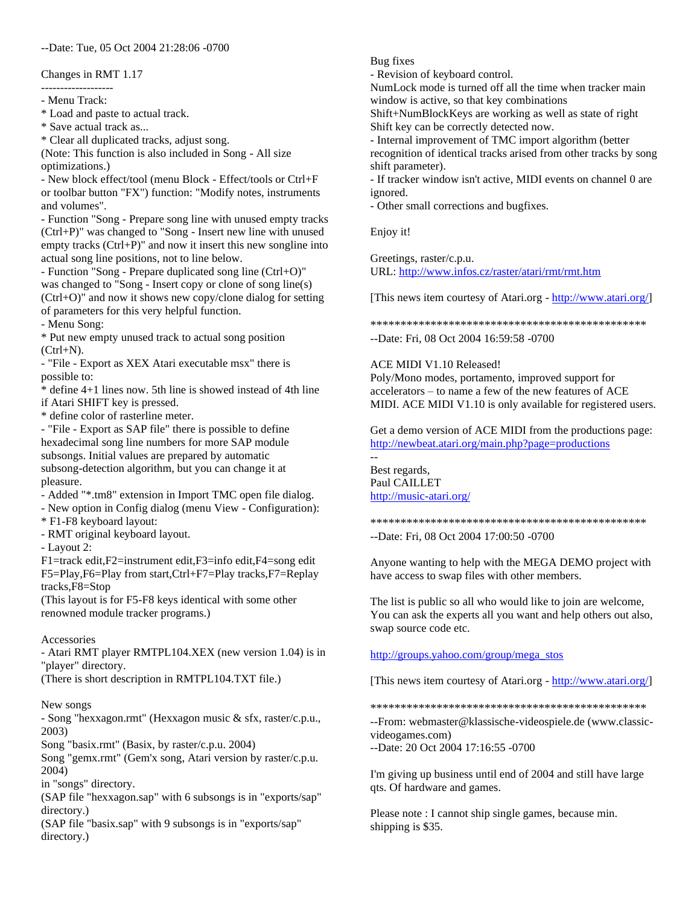#### --Date: Tue, 05 Oct 2004 21:28:06 -0700

#### Changes in RMT 1.17

------------------- - Menu Track:

\* Load and paste to actual track.

\* Save actual track as...

\* Clear all duplicated tracks, adjust song.

(Note: This function is also included in Song - All size optimizations.)

- New block effect/tool (menu Block - Effect/tools or Ctrl+F or toolbar button "FX") function: "Modify notes, instruments and volumes".

- Function "Song - Prepare song line with unused empty tracks (Ctrl+P)" was changed to "Song - Insert new line with unused empty tracks (Ctrl+P)" and now it insert this new songline into actual song line positions, not to line below.

- Function "Song - Prepare duplicated song line (Ctrl+O)" was changed to "Song - Insert copy or clone of song line(s) (Ctrl+O)" and now it shows new copy/clone dialog for setting of parameters for this very helpful function.

- Menu Song:

\* Put new empty unused track to actual song position  $(Ctrl+N)$ .

- "File - Export as XEX Atari executable msx" there is possible to:

\* define 4+1 lines now. 5th line is showed instead of 4th line if Atari SHIFT key is pressed.

\* define color of rasterline meter.

- "File - Export as SAP file" there is possible to define hexadecimal song line numbers for more SAP module subsongs. Initial values are prepared by automatic subsong-detection algorithm, but you can change it at pleasure.

- Added "\*.tm8" extension in Import TMC open file dialog.

- New option in Config dialog (menu View - Configuration):

\* F1-F8 keyboard layout:

- RMT original keyboard layout.

- Layout 2:

F1=track edit,F2=instrument edit,F3=info edit,F4=song edit F5=Play,F6=Play from start,Ctrl+F7=Play tracks,F7=Replay tracks,F8=Stop

(This layout is for F5-F8 keys identical with some other renowned module tracker programs.)

## Accessories

- Atari RMT player RMTPL104.XEX (new version 1.04) is in "player" directory.

(There is short description in RMTPL104.TXT file.)

## New songs

- Song "hexxagon.rmt" (Hexxagon music & sfx, raster/c.p.u., 2003)

Song "basix.rmt" (Basix, by raster/c.p.u. 2004)

Song "gemx.rmt" (Gem'x song, Atari version by raster/c.p.u. 2004)

in "songs" directory.

(SAP file "hexxagon.sap" with 6 subsongs is in "exports/sap" directory.)

(SAP file "basix.sap" with 9 subsongs is in "exports/sap" directory.)

Bug fixes

- Revision of keyboard control.

NumLock mode is turned off all the time when tracker main window is active, so that key combinations

Shift+NumBlockKeys are working as well as state of right Shift key can be correctly detected now.

- Internal improvement of TMC import algorithm (better recognition of identical tracks arised from other tracks by song shift parameter).

- If tracker window isn't active, MIDI events on channel 0 are ignored.

- Other small corrections and bugfixes.

Enjoy it!

Greetings, raster/c.p.u. URL:<http://www.infos.cz/raster/atari/rmt/rmt.htm>

[This news item courtesy of Atari.org - [http://www.atari.org/\]](http://www.atari.org/)

\*\*\*\*\*\*\*\*\*\*\*\*\*\*\*\*\*\*\*\*\*\*\*\*\*\*\*\*\*\*\*\*\*\*\*\*\*\*\*\*\*\*\*\*\*\* --Date: Fri, 08 Oct 2004 16:59:58 -0700

## ACE MIDI V1.10 Released!

Poly/Mono modes, portamento, improved support for accelerators – to name a few of the new features of ACE MIDI. ACE MIDI V1.10 is only available for registered users.

Get a demo version of ACE MIDI from the productions page: <http://newbeat.atari.org/main.php?page=productions>

-- Best regards, Paul CAILLET <http://music-atari.org/>

\*\*\*\*\*\*\*\*\*\*\*\*\*\*\*\*\*\*\*\*\*\*\*\*\*\*\*\*\*\*\*\*\*\*\*\*\*\*\*\*\*\*\*\*\*\* --Date: Fri, 08 Oct 2004 17:00:50 -0700

Anyone wanting to help with the MEGA DEMO project with have access to swap files with other members.

The list is public so all who would like to join are welcome, You can ask the experts all you want and help others out also, swap source code etc.

[http://groups.yahoo.com/group/mega\\_stos](http://groups.yahoo.com/group/mega_stos)

[This news item courtesy of Atari.org - [http://www.atari.org/\]](http://www.atari.org/)

\*\*\*\*\*\*\*\*\*\*\*\*\*\*\*\*\*\*\*\*\*\*\*\*\*\*\*\*\*\*\*\*\*\*\*\*\*\*\*\*\*\*\*\*\*\*

--From: webmaster@klassische-videospiele.de (www.classicvideogames.com)

--Date: 20 Oct 2004 17:16:55 -0700

I'm giving up business until end of 2004 and still have large qts. Of hardware and games.

Please note : I cannot ship single games, because min. shipping is \$35.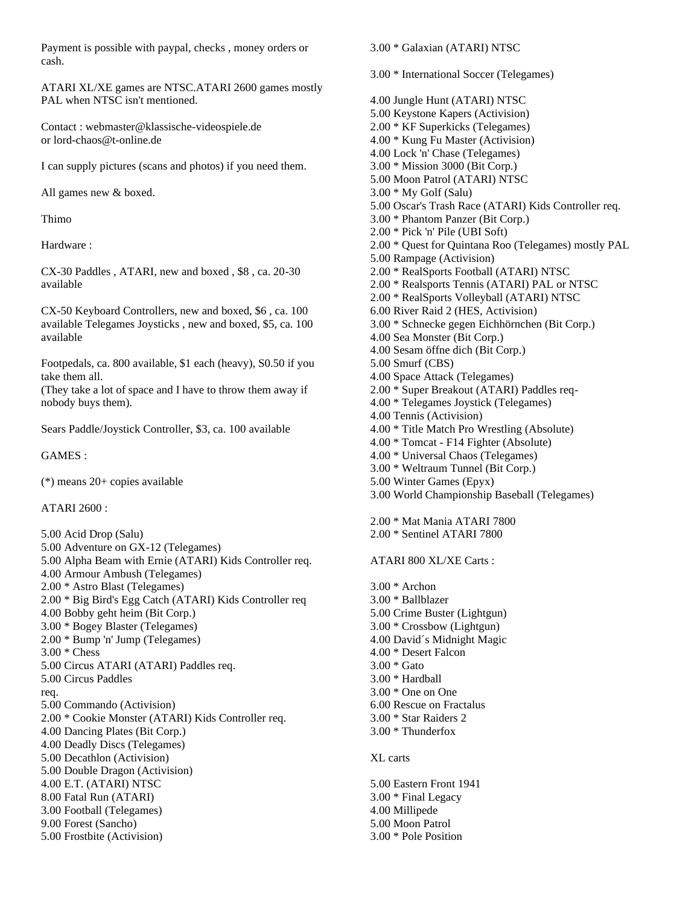Payment is possible with paypal, checks , money orders or cash.

ATARI XL/XE games are NTSC.ATARI 2600 games mostly PAL when NTSC isn't mentioned.

Contact : webmaster@klassische-videospiele.de or lord-chaos@t-online.de

I can supply pictures (scans and photos) if you need them.

All games new & boxed.

Thimo

Hardware :

CX-30 Paddles , ATARI, new and boxed , \$8 , ca. 20-30 available

CX-50 Keyboard Controllers, new and boxed, \$6 , ca. 100 available Telegames Joysticks , new and boxed, \$5, ca. 100 available

Footpedals, ca. 800 available, \$1 each (heavy), S0.50 if you take them all.

(They take a lot of space and I have to throw them away if nobody buys them).

Sears Paddle/Joystick Controller, \$3, ca. 100 available

GAMES :

(\*) means 20+ copies available

ATARI 2600 :

5.00 Acid Drop (Salu) 5.00 Adventure on GX-12 (Telegames) 5.00 Alpha Beam with Ernie (ATARI) Kids Controller req. 4.00 Armour Ambush (Telegames) 2.00 \* Astro Blast (Telegames) 2.00 \* Big Bird's Egg Catch (ATARI) Kids Controller req 4.00 Bobby geht heim (Bit Corp.) 3.00 \* Bogey Blaster (Telegames) 2.00 \* Bump 'n' Jump (Telegames) 3.00 \* Chess 5.00 Circus ATARI (ATARI) Paddles req. 5.00 Circus Paddles req. 5.00 Commando (Activision) 2.00 \* Cookie Monster (ATARI) Kids Controller req. 4.00 Dancing Plates (Bit Corp.) 4.00 Deadly Discs (Telegames) 5.00 Decathlon (Activision) 5.00 Double Dragon (Activision) 4.00 E.T. (ATARI) NTSC 8.00 Fatal Run (ATARI) 3.00 Football (Telegames) 9.00 Forest (Sancho) 5.00 Frostbite (Activision)

3.00 \* Galaxian (ATARI) NTSC 3.00 \* International Soccer (Telegames) 4.00 Jungle Hunt (ATARI) NTSC 5.00 Keystone Kapers (Activision) 2.00 \* KF Superkicks (Telegames) 4.00 \* Kung Fu Master (Activision) 4.00 Lock 'n' Chase (Telegames) 3.00 \* Mission 3000 (Bit Corp.) 5.00 Moon Patrol (ATARI) NTSC 3.00 \* My Golf (Salu) 5.00 Oscar's Trash Race (ATARI) Kids Controller req. 3.00 \* Phantom Panzer (Bit Corp.) 2.00 \* Pick 'n' Pile (UBI Soft) 2.00 \* Quest for Quintana Roo (Telegames) mostly PAL 5.00 Rampage (Activision) 2.00 \* RealSports Football (ATARI) NTSC 2.00 \* Realsports Tennis (ATARI) PAL or NTSC 2.00 \* RealSports Volleyball (ATARI) NTSC 6.00 River Raid 2 (HES, Activision) 3.00 \* Schnecke gegen Eichhörnchen (Bit Corp.) 4.00 Sea Monster (Bit Corp.) 4.00 Sesam öffne dich (Bit Corp.) 5.00 Smurf (CBS) 4.00 Space Attack (Telegames) 2.00 \* Super Breakout (ATARI) Paddles req-4.00 \* Telegames Joystick (Telegames) 4.00 Tennis (Activision) 4.00 \* Title Match Pro Wrestling (Absolute) 4.00 \* Tomcat - F14 Fighter (Absolute) 4.00 \* Universal Chaos (Telegames) 3.00 \* Weltraum Tunnel (Bit Corp.) 5.00 Winter Games (Epyx) 3.00 World Championship Baseball (Telegames) 2.00 \* Mat Mania ATARI 7800 2.00 \* Sentinel ATARI 7800 ATARI 800 XL/XE Carts : 3.00 \* Archon 3.00 \* Ballblazer 5.00 Crime Buster (Lightgun) 3.00 \* Crossbow (Lightgun) 4.00 David´s Midnight Magic 4.00 \* Desert Falcon 3.00 \* Gato 3.00 \* Hardball 3.00 \* One on One 6.00 Rescue on Fractalus 3.00 \* Star Raiders 2 3.00 \* Thunderfox XL carts 5.00 Eastern Front 1941 3.00 \* Final Legacy 4.00 Millipede

5.00 Moon Patrol 3.00 \* Pole Position